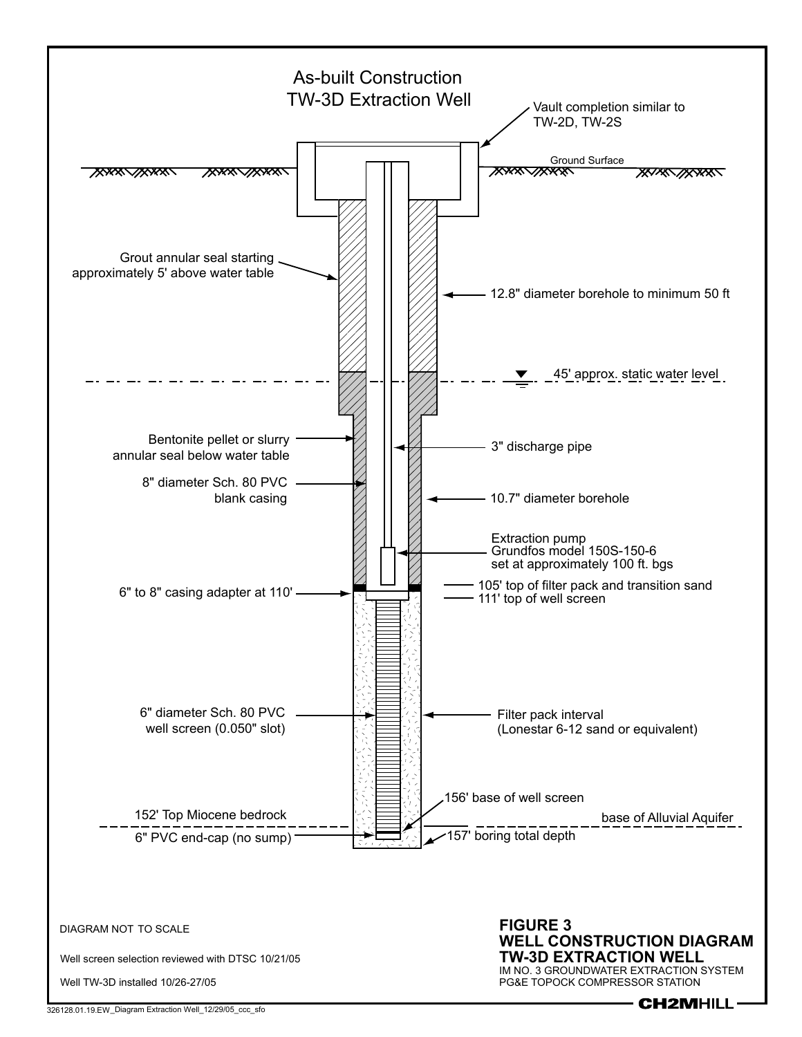

326128.01.19.EW \_Diagram Extraction Well\_12/29/05\_ccc\_sfo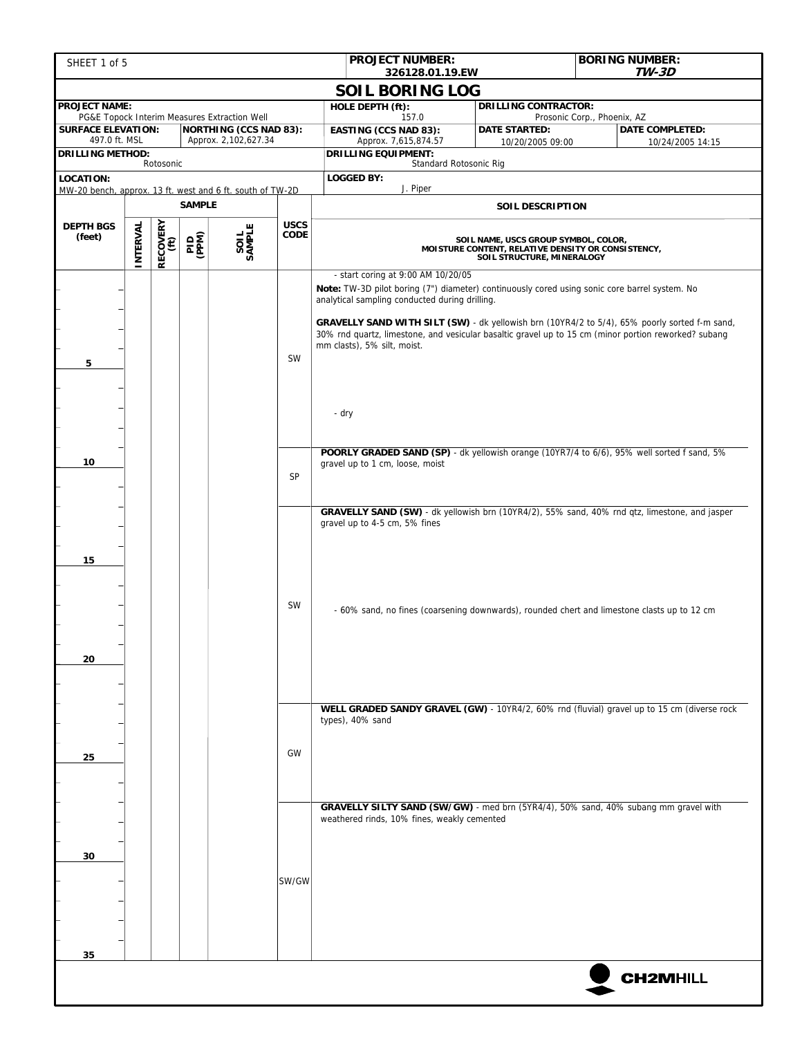| SHEET 1 of 5                                                           |                                                                                                                                    |                  |               |                                                                               |                            | <b>PROJECT NUMBER:</b><br>326128.01.19.EW                                                                                                                                                                                            |                             | <b>BORING NUMBER:</b><br><b>TW-3D</b>                                                         |  |  |  |  |
|------------------------------------------------------------------------|------------------------------------------------------------------------------------------------------------------------------------|------------------|---------------|-------------------------------------------------------------------------------|----------------------------|--------------------------------------------------------------------------------------------------------------------------------------------------------------------------------------------------------------------------------------|-----------------------------|-----------------------------------------------------------------------------------------------|--|--|--|--|
|                                                                        |                                                                                                                                    |                  |               |                                                                               |                            | <b>SOIL BORING LOG</b>                                                                                                                                                                                                               |                             |                                                                                               |  |  |  |  |
| <b>PROJECT NAME:</b>                                                   |                                                                                                                                    |                  |               |                                                                               |                            | HOLE DEPTH (ft):                                                                                                                                                                                                                     | <b>DRILLING CONTRACTOR:</b> |                                                                                               |  |  |  |  |
| <b>SURFACE ELEVATION:</b>                                              |                                                                                                                                    |                  |               | PG&E Topock Interim Measures Extraction Well<br><b>NORTHING (CCS NAD 83):</b> |                            | 157.0<br><b>EASTING (CCS NAD 83):</b>                                                                                                                                                                                                | <b>DATE STARTED:</b>        | Prosonic Corp., Phoenix, AZ<br><b>DATE COMPLETED:</b>                                         |  |  |  |  |
| 497.0 ft. MSL<br><b>DRILLING METHOD:</b>                               |                                                                                                                                    |                  |               | Approx. 2,102,627.34                                                          |                            | Approx. 7,615,874.57<br><b>DRILLING EQUIPMENT:</b>                                                                                                                                                                                   | 10/20/2005 09:00            | 10/24/2005 14:15                                                                              |  |  |  |  |
|                                                                        |                                                                                                                                    | Rotosonic        |               |                                                                               |                            | Standard Rotosonic Rig                                                                                                                                                                                                               |                             |                                                                                               |  |  |  |  |
| LOCATION:<br>MW-20 bench, approx. 13 ft. west and 6 ft. south of TW-2D |                                                                                                                                    |                  |               |                                                                               |                            | <b>LOGGED BY:</b><br>J. Piper                                                                                                                                                                                                        |                             |                                                                                               |  |  |  |  |
|                                                                        |                                                                                                                                    |                  | <b>SAMPLE</b> |                                                                               |                            |                                                                                                                                                                                                                                      | SOIL DESCRIPTION            |                                                                                               |  |  |  |  |
| <b>DEPTH BGS</b><br>(feet)                                             | INTERVAL                                                                                                                           | RECOVERY<br>(ft) | <b>GNEG</b>   | SOIL<br>SAMPLE                                                                | <b>USCS</b><br><b>CODE</b> | SOIL NAME, USCS GROUP SYMBOL, COLOR,<br>MOISTURE CONTENT, RELATIVE DENSITY OR CONSISTENCY,<br>SOIL STRUCTURE, MINERALOGY                                                                                                             |                             |                                                                                               |  |  |  |  |
|                                                                        |                                                                                                                                    |                  |               |                                                                               |                            | - start coring at 9:00 AM 10/20/05<br>Note: TW-3D pilot boring (7") diameter) continuously cored using sonic core barrel system. No<br>analytical sampling conducted during drilling.                                                |                             |                                                                                               |  |  |  |  |
| 5                                                                      |                                                                                                                                    |                  |               |                                                                               | SW                         | GRAVELLY SAND WITH SILT (SW) - dk yellowish brn (10YR4/2 to 5/4), 65% poorly sorted f-m sand,<br>30% rnd quartz, limestone, and vesicular basaltic gravel up to 15 cm (minor portion reworked? subang<br>mm clasts), 5% silt, moist. |                             |                                                                                               |  |  |  |  |
|                                                                        |                                                                                                                                    |                  |               |                                                                               |                            | - dry                                                                                                                                                                                                                                |                             |                                                                                               |  |  |  |  |
| 10                                                                     |                                                                                                                                    |                  |               |                                                                               | SP                         | POORLY GRADED SAND (SP) - dk yellowish orange (10YR7/4 to 6/6), 95% well sorted f sand, 5%<br>gravel up to 1 cm, loose, moist                                                                                                        |                             |                                                                                               |  |  |  |  |
| 15                                                                     |                                                                                                                                    |                  |               |                                                                               |                            | gravel up to 4-5 cm, 5% fines                                                                                                                                                                                                        |                             | GRAVELLY SAND (SW) - dk yellowish brn (10YR4/2), 55% sand, 40% rnd qtz, limestone, and jasper |  |  |  |  |
| 20                                                                     |                                                                                                                                    |                  |               |                                                                               | <b>SW</b>                  | - 60% sand, no fines (coarsening downwards), rounded chert and limestone clasts up to 12 cm                                                                                                                                          |                             |                                                                                               |  |  |  |  |
| 25                                                                     |                                                                                                                                    |                  |               |                                                                               | GW                         | types), 40% sand                                                                                                                                                                                                                     |                             | WELL GRADED SANDY GRAVEL (GW) - 10YR4/2, 60% rnd (fluvial) gravel up to 15 cm (diverse rock   |  |  |  |  |
| 30                                                                     | GRAVELLY SILTY SAND (SW/GW) - med brn (5YR4/4), 50% sand, 40% subang mm gravel with<br>weathered rinds, 10% fines, weakly cemented |                  |               |                                                                               |                            |                                                                                                                                                                                                                                      |                             |                                                                                               |  |  |  |  |
|                                                                        |                                                                                                                                    |                  |               |                                                                               | SW/GW                      |                                                                                                                                                                                                                                      |                             |                                                                                               |  |  |  |  |
| 35                                                                     |                                                                                                                                    |                  |               |                                                                               |                            |                                                                                                                                                                                                                                      |                             | <b>CH2MHILL</b>                                                                               |  |  |  |  |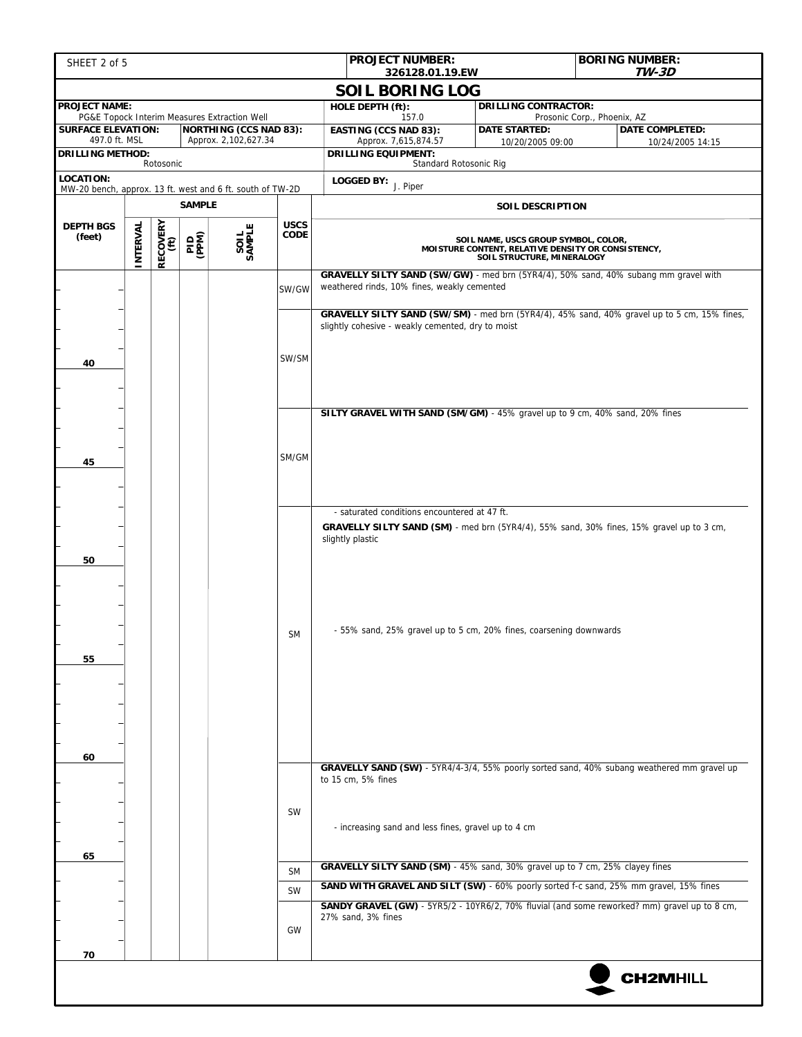| SHEET 2 of 5                                                           |                                                                                                                                                                               |                  |                |                                                                               |                            | <b>PROJECT NUMBER:</b><br>326128.01.19.EW                                                                                          |                                                                                             | <b>BORING NUMBER:</b><br><b>TW-3D</b>                 |  |  |  |  |
|------------------------------------------------------------------------|-------------------------------------------------------------------------------------------------------------------------------------------------------------------------------|------------------|----------------|-------------------------------------------------------------------------------|----------------------------|------------------------------------------------------------------------------------------------------------------------------------|---------------------------------------------------------------------------------------------|-------------------------------------------------------|--|--|--|--|
|                                                                        |                                                                                                                                                                               |                  |                |                                                                               |                            | <b>SOIL BORING LOG</b>                                                                                                             |                                                                                             |                                                       |  |  |  |  |
| <b>PROJECT NAME:</b>                                                   |                                                                                                                                                                               |                  |                |                                                                               |                            | HOLE DEPTH (ft):                                                                                                                   | <b>DRILLING CONTRACTOR:</b>                                                                 |                                                       |  |  |  |  |
| <b>SURFACE ELEVATION:</b>                                              |                                                                                                                                                                               |                  |                | PG&E Topock Interim Measures Extraction Well<br><b>NORTHING (CCS NAD 83):</b> |                            | 157.0<br><b>EASTING (CCS NAD 83):</b>                                                                                              | <b>DATE STARTED:</b>                                                                        | Prosonic Corp., Phoenix, AZ<br><b>DATE COMPLETED:</b> |  |  |  |  |
| 497.0 ft. MSL<br><b>DRILLING METHOD:</b>                               |                                                                                                                                                                               |                  |                | Approx. 2,102,627.34                                                          |                            | Approx. 7,615,874.57<br><b>DRILLING EQUIPMENT:</b>                                                                                 | 10/20/2005 09:00                                                                            | 10/24/2005 14:15                                      |  |  |  |  |
| Rotosonic                                                              |                                                                                                                                                                               |                  |                |                                                                               |                            | Standard Rotosonic Rig                                                                                                             |                                                                                             |                                                       |  |  |  |  |
| LOCATION:<br>MW-20 bench, approx. 13 ft. west and 6 ft. south of TW-2D |                                                                                                                                                                               |                  |                |                                                                               |                            | <b>LOGGED BY:</b> $J.$ Piper                                                                                                       |                                                                                             |                                                       |  |  |  |  |
|                                                                        |                                                                                                                                                                               |                  | <b>SAMPLE</b>  |                                                                               |                            |                                                                                                                                    | <b>SOIL DESCRIPTION</b>                                                                     |                                                       |  |  |  |  |
| <b>DEPTH BGS</b><br>(feet)                                             | INTERVAL                                                                                                                                                                      | RECOVERY<br>(ft) | (PIP)<br>(PPM) | SAMPLE                                                                        | <b>USCS</b><br><b>CODE</b> | SOIL NAME, USCS GROUP SYMBOL, COLOR,<br>MOISTURE CONTENT, RELATIVE DENSITY OR CONSISTENCY,<br>SOIL STRUCTURE, MINERALOGY           |                                                                                             |                                                       |  |  |  |  |
|                                                                        |                                                                                                                                                                               |                  |                |                                                                               | SW/GW                      | GRAVELLY SILTY SAND (SW/GW) - med brn (5YR4/4), 50% sand, 40% subang mm gravel with<br>weathered rinds, 10% fines, weakly cemented |                                                                                             |                                                       |  |  |  |  |
| 40                                                                     |                                                                                                                                                                               |                  |                |                                                                               | SW/SM                      | slightly cohesive - weakly cemented, dry to moist                                                                                  | GRAVELLY SILTY SAND (SW/SM) - med brn (5YR4/4), 45% sand, 40% gravel up to 5 cm, 15% fines, |                                                       |  |  |  |  |
|                                                                        |                                                                                                                                                                               |                  |                |                                                                               |                            | SILTY GRAVEL WITH SAND (SM/GM) - 45% gravel up to 9 cm, 40% sand, 20% fines                                                        |                                                                                             |                                                       |  |  |  |  |
| 45                                                                     |                                                                                                                                                                               |                  |                |                                                                               | SM/GM                      |                                                                                                                                    |                                                                                             |                                                       |  |  |  |  |
|                                                                        |                                                                                                                                                                               |                  |                |                                                                               |                            | - saturated conditions encountered at 47 ft.                                                                                       |                                                                                             |                                                       |  |  |  |  |
| 50                                                                     |                                                                                                                                                                               |                  |                |                                                                               |                            | GRAVELLY SILTY SAND (SM) - med brn (5YR4/4), 55% sand, 30% fines, 15% gravel up to 3 cm,<br>slightly plastic                       |                                                                                             |                                                       |  |  |  |  |
| 55                                                                     |                                                                                                                                                                               |                  |                |                                                                               | <b>SM</b>                  | - 55% sand, 25% gravel up to 5 cm, 20% fines, coarsening downwards                                                                 |                                                                                             |                                                       |  |  |  |  |
| 60                                                                     |                                                                                                                                                                               |                  |                |                                                                               |                            |                                                                                                                                    |                                                                                             |                                                       |  |  |  |  |
|                                                                        | GRAVELLY SAND (SW) - 5YR4/4-3/4, 55% poorly sorted sand, 40% subang weathered mm gravel up<br>to 15 cm, 5% fines<br>SW<br>- increasing sand and less fines, gravel up to 4 cm |                  |                |                                                                               |                            |                                                                                                                                    |                                                                                             |                                                       |  |  |  |  |
| 65                                                                     |                                                                                                                                                                               |                  |                |                                                                               | <b>SM</b>                  | GRAVELLY SILTY SAND (SM) - 45% sand, 30% gravel up to 7 cm, 25% clayey fines                                                       |                                                                                             |                                                       |  |  |  |  |
|                                                                        |                                                                                                                                                                               |                  |                |                                                                               | SW                         | SAND WITH GRAVEL AND SILT (SW) - 60% poorly sorted f-c sand, 25% mm gravel, 15% fines                                              |                                                                                             |                                                       |  |  |  |  |
|                                                                        |                                                                                                                                                                               |                  |                |                                                                               | GW                         | SANDY GRAVEL (GW) - 5YR5/2 - 10YR6/2, 70% fluvial (and some reworked? mm) gravel up to 8 cm,<br>27% sand, 3% fines                 |                                                                                             |                                                       |  |  |  |  |
| 70                                                                     |                                                                                                                                                                               |                  |                |                                                                               |                            |                                                                                                                                    |                                                                                             | <b>CH2MHILL</b>                                       |  |  |  |  |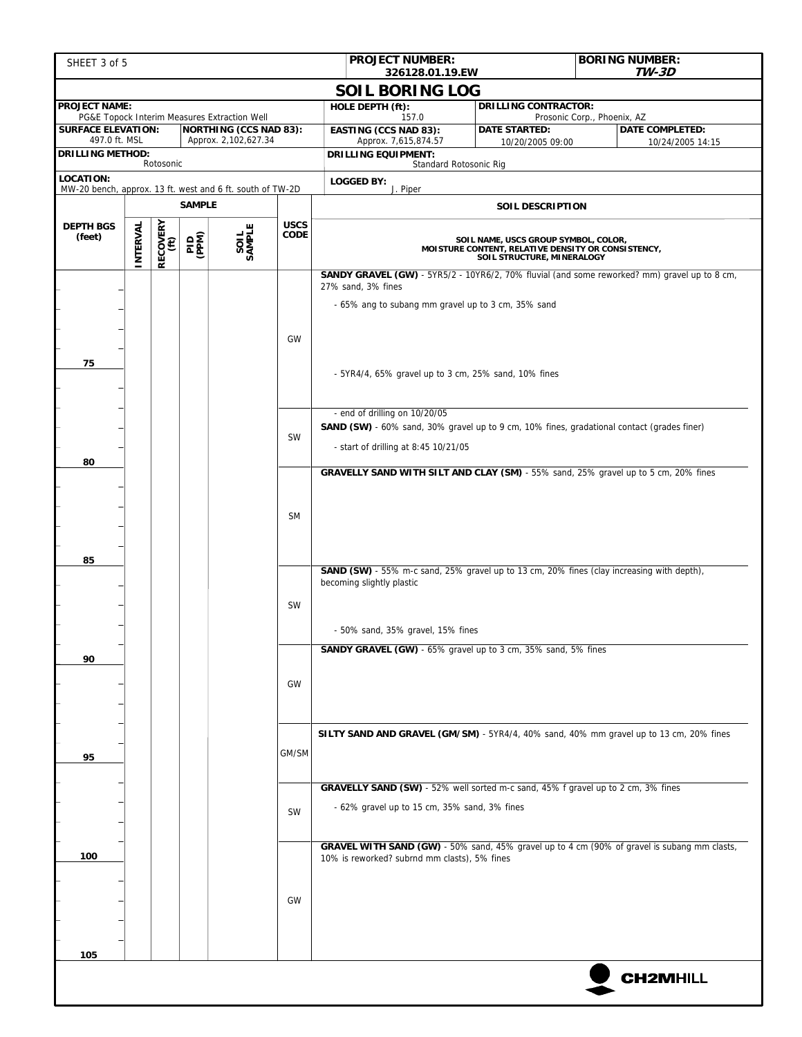| SHEET 3 of 5                                              |                                                                                                                                        |                  |               |                                                                               |                     | <b>PROJECT NUMBER:</b><br>326128.01.19.EW                                                                                                                                                                                                                 |                             | <b>BORING NUMBER:</b><br><b>TW-3D</b>                                                               |  |  |  |
|-----------------------------------------------------------|----------------------------------------------------------------------------------------------------------------------------------------|------------------|---------------|-------------------------------------------------------------------------------|---------------------|-----------------------------------------------------------------------------------------------------------------------------------------------------------------------------------------------------------------------------------------------------------|-----------------------------|-----------------------------------------------------------------------------------------------------|--|--|--|
|                                                           |                                                                                                                                        |                  |               |                                                                               |                     | <b>SOIL BORING LOG</b>                                                                                                                                                                                                                                    |                             |                                                                                                     |  |  |  |
| <b>PROJECT NAME:</b>                                      |                                                                                                                                        |                  |               |                                                                               |                     | HOLE DEPTH (ft):                                                                                                                                                                                                                                          | <b>DRILLING CONTRACTOR:</b> | Prosonic Corp., Phoenix, AZ                                                                         |  |  |  |
| <b>SURFACE ELEVATION:</b>                                 |                                                                                                                                        |                  |               | PG&E Topock Interim Measures Extraction Well<br><b>NORTHING (CCS NAD 83):</b> |                     | 157.0<br><b>EASTING (CCS NAD 83):</b>                                                                                                                                                                                                                     | <b>DATE STARTED:</b>        | <b>DATE COMPLETED:</b>                                                                              |  |  |  |
| 497.0 ft. MSL<br><b>DRILLING METHOD:</b>                  |                                                                                                                                        |                  |               | Approx. 2,102,627.34                                                          |                     | Approx. 7,615,874.57<br><b>DRILLING EQUIPMENT:</b>                                                                                                                                                                                                        | 10/20/2005 09:00            | 10/24/2005 14:15                                                                                    |  |  |  |
| <b>LOCATION:</b>                                          |                                                                                                                                        | Rotosonic        |               |                                                                               |                     | Standard Rotosonic Rig                                                                                                                                                                                                                                    |                             |                                                                                                     |  |  |  |
| MW-20 bench, approx. 13 ft. west and 6 ft. south of TW-2D |                                                                                                                                        |                  |               |                                                                               |                     | <b>LOGGED BY:</b><br>J. Piper                                                                                                                                                                                                                             |                             |                                                                                                     |  |  |  |
|                                                           |                                                                                                                                        |                  | <b>SAMPLE</b> |                                                                               |                     |                                                                                                                                                                                                                                                           | <b>SOIL DESCRIPTION</b>     |                                                                                                     |  |  |  |
| <b>DEPTH BGS</b><br>(feet)                                | INTERVAL                                                                                                                               | RECOVERY<br>(ft) | <b>GNEG</b>   | SAMPLE                                                                        | <b>USCS</b><br>CODE | SOIL NAME, USCS GROUP SYMBOL, COLOR,<br>MOISTURE CONTENT, RELATIVE DENSITY OR CONSISTENCY,<br>SOIL STRUCTURE, MINERALOGY                                                                                                                                  |                             |                                                                                                     |  |  |  |
| 75                                                        |                                                                                                                                        |                  |               |                                                                               | GW                  | 27% sand, 3% fines<br>- 65% ang to subang mm gravel up to 3 cm, 35% sand<br>- 5YR4/4, 65% gravel up to 3 cm, 25% sand, 10% fines                                                                                                                          |                             | <b>SANDY GRAVEL (GW)</b> - 5YR5/2 - 10YR6/2, 70% fluvial (and some reworked? mm) gravel up to 8 cm, |  |  |  |
| 80                                                        |                                                                                                                                        |                  |               |                                                                               | SW                  | - end of drilling on 10/20/05<br>SAND (SW) - 60% sand, 30% gravel up to 9 cm, 10% fines, gradational contact (grades finer)<br>- start of drilling at 8:45 10/21/05<br>GRAVELLY SAND WITH SILT AND CLAY (SM) - 55% sand, 25% gravel up to 5 cm, 20% fines |                             |                                                                                                     |  |  |  |
| 85                                                        |                                                                                                                                        |                  |               |                                                                               | <b>SM</b>           |                                                                                                                                                                                                                                                           |                             |                                                                                                     |  |  |  |
|                                                           |                                                                                                                                        |                  |               |                                                                               | <b>SW</b>           | <b>SAND (SW)</b> - 55% m-c sand, 25% gravel up to 13 cm, 20% fines (clay increasing with depth),<br>becoming slightly plastic<br>- 50% sand, 35% gravel, 15% fines                                                                                        |                             |                                                                                                     |  |  |  |
| 90                                                        |                                                                                                                                        |                  |               |                                                                               | GW                  | SANDY GRAVEL (GW) - 65% gravel up to 3 cm, 35% sand, 5% fines                                                                                                                                                                                             |                             |                                                                                                     |  |  |  |
| 95                                                        |                                                                                                                                        |                  |               |                                                                               | GM/SM               | SILTY SAND AND GRAVEL (GM/SM) - 5YR4/4, 40% sand, 40% mm gravel up to 13 cm, 20% fines                                                                                                                                                                    |                             |                                                                                                     |  |  |  |
|                                                           | GRAVELLY SAND (SW) - 52% well sorted m-c sand, 45% f gravel up to 2 cm, 3% fines<br>- 62% gravel up to 15 cm, 35% sand, 3% fines<br>SW |                  |               |                                                                               |                     |                                                                                                                                                                                                                                                           |                             |                                                                                                     |  |  |  |
| 100<br>105                                                |                                                                                                                                        |                  |               |                                                                               | GW                  | 10% is reworked? subrnd mm clasts), 5% fines                                                                                                                                                                                                              |                             | GRAVEL WITH SAND (GW) - 50% sand, 45% gravel up to 4 cm (90% of gravel is subang mm clasts,         |  |  |  |
|                                                           |                                                                                                                                        |                  |               |                                                                               |                     |                                                                                                                                                                                                                                                           |                             | <b>CH2MHILL</b>                                                                                     |  |  |  |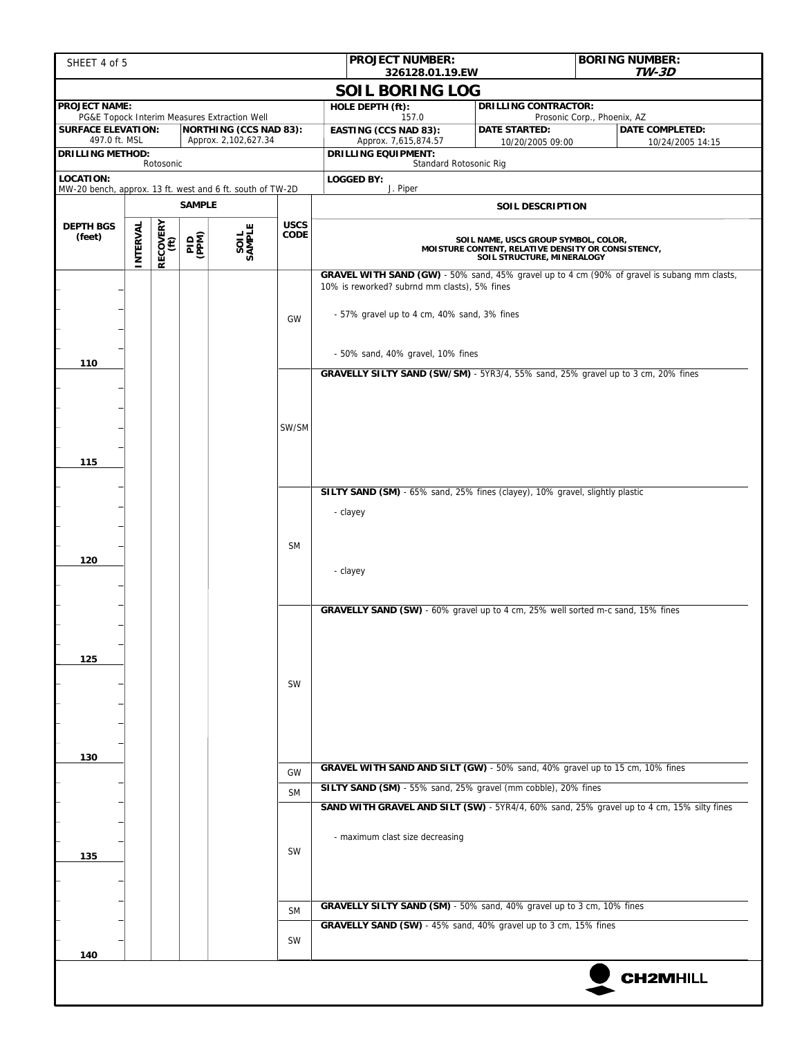| SHEET 4 of 5                                                                  |                                                                                    |                  |             |                                                                               |                                                                                    |                         | <b>PROJECT NUMBER:</b>                             | 326128.01.19.EW                                                                             |                                                                                  |                             | <b>BORING NUMBER:</b><br><b>TW-3D</b>                                                       |  |
|-------------------------------------------------------------------------------|------------------------------------------------------------------------------------|------------------|-------------|-------------------------------------------------------------------------------|------------------------------------------------------------------------------------|-------------------------|----------------------------------------------------|---------------------------------------------------------------------------------------------|----------------------------------------------------------------------------------|-----------------------------|---------------------------------------------------------------------------------------------|--|
|                                                                               |                                                                                    |                  |             |                                                                               |                                                                                    |                         |                                                    | <b>SOIL BORING LOG</b>                                                                      |                                                                                  |                             |                                                                                             |  |
| <b>PROJECT NAME:</b>                                                          |                                                                                    |                  |             |                                                                               |                                                                                    |                         | HOLE DEPTH (ft):                                   |                                                                                             | <b>DRILLING CONTRACTOR:</b>                                                      | Prosonic Corp., Phoenix, AZ |                                                                                             |  |
| <b>SURFACE ELEVATION:</b>                                                     |                                                                                    |                  |             | PG&E Topock Interim Measures Extraction Well<br><b>NORTHING (CCS NAD 83):</b> |                                                                                    |                         | <b>EASTING (CCS NAD 83):</b>                       | 157.0                                                                                       | <b>DATE STARTED:</b>                                                             |                             | <b>DATE COMPLETED:</b>                                                                      |  |
| 497.0 ft. MSL<br>Approx. 2,102,627.34<br><b>DRILLING METHOD:</b>              |                                                                                    |                  |             |                                                                               |                                                                                    |                         | Approx. 7,615,874.57<br><b>DRILLING EQUIPMENT:</b> |                                                                                             | 10/20/2005 09:00                                                                 |                             | 10/24/2005 14:15                                                                            |  |
| Rotosonic                                                                     |                                                                                    |                  |             |                                                                               |                                                                                    |                         |                                                    | Standard Rotosonic Rig                                                                      |                                                                                  |                             |                                                                                             |  |
| <b>LOCATION:</b><br>MW-20 bench, approx. 13 ft. west and 6 ft. south of TW-2D |                                                                                    |                  |             |                                                                               |                                                                                    |                         | <b>LOGGED BY:</b><br>J. Piper                      |                                                                                             |                                                                                  |                             |                                                                                             |  |
| <b>SAMPLE</b>                                                                 |                                                                                    |                  |             |                                                                               |                                                                                    | <b>SOIL DESCRIPTION</b> |                                                    |                                                                                             |                                                                                  |                             |                                                                                             |  |
| <b>DEPTH BGS</b><br>(feet)                                                    | INTERVAL                                                                           | RECOVERY<br>(ft) | <b>PIPS</b> | SAMPLE                                                                        | <b>USCS</b><br>CODE                                                                |                         |                                                    | SOIL NAME, USCS GROUP SYMBOL, COLOR,<br>MOISTURE CONTENT, RELATIVE DENSITY OR CONSISTENCY,  |                                                                                  |                             |                                                                                             |  |
|                                                                               |                                                                                    |                  |             |                                                                               | GW                                                                                 |                         |                                                    | 10% is reworked? subrnd mm clasts), 5% fines<br>- 57% gravel up to 4 cm, 40% sand, 3% fines |                                                                                  |                             | GRAVEL WITH SAND (GW) - 50% sand, 45% gravel up to 4 cm (90% of gravel is subang mm clasts, |  |
| 110                                                                           |                                                                                    |                  |             |                                                                               |                                                                                    |                         |                                                    | - 50% sand, 40% gravel, 10% fines                                                           |                                                                                  |                             |                                                                                             |  |
| 115                                                                           |                                                                                    |                  |             |                                                                               | SW/SM                                                                              |                         |                                                    |                                                                                             | GRAVELLY SILTY SAND (SW/SM) - 5YR3/4, 55% sand, 25% gravel up to 3 cm, 20% fines |                             |                                                                                             |  |
| 120                                                                           |                                                                                    |                  |             |                                                                               | <b>SM</b>                                                                          | - clayey                | - clayey                                           |                                                                                             | SILTY SAND (SM) - 65% sand, 25% fines (clayey), 10% gravel, slightly plastic     |                             |                                                                                             |  |
| 125<br>130                                                                    |                                                                                    |                  |             |                                                                               | SW                                                                                 |                         |                                                    |                                                                                             | GRAVELLY SAND (SW) - 60% gravel up to 4 cm, 25% well sorted m-c sand, 15% fines  |                             |                                                                                             |  |
|                                                                               |                                                                                    |                  |             |                                                                               | GRAVEL WITH SAND AND SILT (GW) - 50% sand, 40% gravel up to 15 cm, 10% fines<br>GW |                         |                                                    |                                                                                             |                                                                                  |                             |                                                                                             |  |
|                                                                               |                                                                                    |                  |             |                                                                               | <b>SM</b>                                                                          |                         |                                                    |                                                                                             | SILTY SAND (SM) - 55% sand, 25% gravel (mm cobble), 20% fines                    |                             |                                                                                             |  |
| 135                                                                           |                                                                                    |                  |             |                                                                               | <b>SW</b>                                                                          |                         | - maximum clast size decreasing                    |                                                                                             |                                                                                  |                             | SAND WITH GRAVEL AND SILT (SW) - 5YR4/4, 60% sand, 25% gravel up to 4 cm, 15% silty fines   |  |
|                                                                               | GRAVELLY SILTY SAND (SM) - 50% sand, 40% gravel up to 3 cm, 10% fines<br><b>SM</b> |                  |             |                                                                               |                                                                                    |                         |                                                    |                                                                                             |                                                                                  |                             |                                                                                             |  |
| 140                                                                           |                                                                                    |                  |             |                                                                               | SW                                                                                 |                         |                                                    |                                                                                             | GRAVELLY SAND (SW) - 45% sand, 40% gravel up to 3 cm, 15% fines                  |                             |                                                                                             |  |
|                                                                               |                                                                                    |                  |             |                                                                               |                                                                                    |                         |                                                    |                                                                                             |                                                                                  |                             | <b>CH2MHILL</b>                                                                             |  |